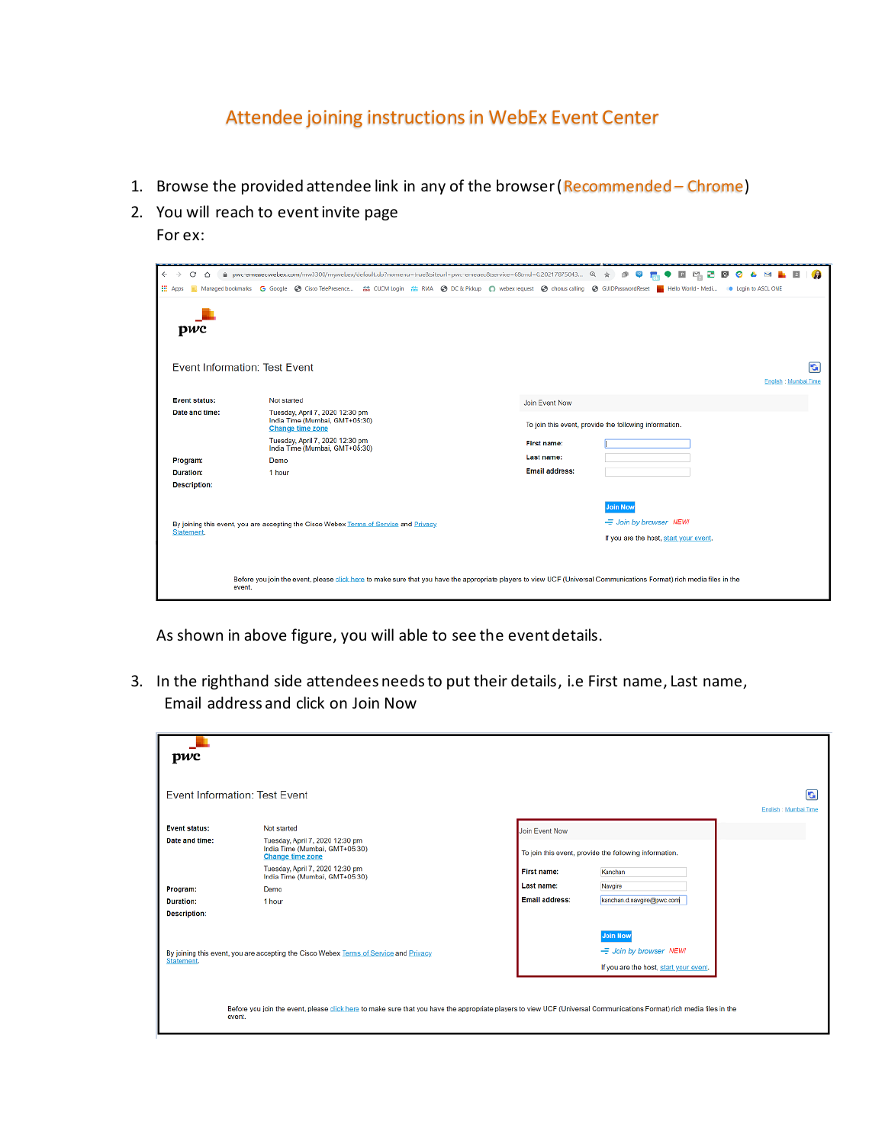## Attendee joining instructions in WebEx Event Center

- 1. Browse the provided attendee link in any of the browser (Recommended Chrome)
- 2. You will reach to event invite page For ex:

| $\leftarrow$<br>е<br>Ω                                                                                                                                                          | Burgerenessec.webex.com/mw3300/mywebex/default.do?nomenu=true8siteurl=pwc-emeaec8service=68rnd=0.20217875043                                                 |                       | M<br>$^{\circ}$<br>ø<br>æ<br>ø<br>Ŷ                    |  |  |
|---------------------------------------------------------------------------------------------------------------------------------------------------------------------------------|--------------------------------------------------------------------------------------------------------------------------------------------------------------|-----------------------|--------------------------------------------------------|--|--|
| <b>HI</b> Apps                                                                                                                                                                  | Managed bookmarks G Google @ Cisco TelePresence ## CUCM Login ## RMA @ DC & Pickup O webex request @ chorus calling @ GUIDPasswordReset   Hello World - Medi |                       | <b>CO</b> Login to ASCL ONE                            |  |  |
| pwc                                                                                                                                                                             |                                                                                                                                                              |                       |                                                        |  |  |
|                                                                                                                                                                                 | Event Information: Test Event                                                                                                                                |                       | G                                                      |  |  |
|                                                                                                                                                                                 |                                                                                                                                                              |                       | English : Mumbai Time                                  |  |  |
| <b>Event status:</b>                                                                                                                                                            | Not started                                                                                                                                                  | Join Event Now        |                                                        |  |  |
| Date and time:                                                                                                                                                                  | Tuesday, April 7, 2020 12:30 pm<br>India Time (Mumbai, GMT+05:30)<br><b>Change time zone</b>                                                                 |                       | To join this event, provide the following information. |  |  |
|                                                                                                                                                                                 | Tuesday, April 7, 2020 12:30 pm<br>India Time (Mumbai, GMT+05:30)                                                                                            | First name:           |                                                        |  |  |
| Program:                                                                                                                                                                        | Demo                                                                                                                                                         | Last name:            |                                                        |  |  |
| <b>Duration:</b>                                                                                                                                                                | 1 hour                                                                                                                                                       | <b>Email address:</b> |                                                        |  |  |
| <b>Description:</b>                                                                                                                                                             |                                                                                                                                                              |                       |                                                        |  |  |
|                                                                                                                                                                                 |                                                                                                                                                              |                       | <b>Join Now</b>                                        |  |  |
|                                                                                                                                                                                 | By joining this event, you are accepting the Cisco Webex Terms of Service and Privacy                                                                        |                       | - Join by browser NEW!                                 |  |  |
| Statement.                                                                                                                                                                      |                                                                                                                                                              |                       | If you are the host, start your event.                 |  |  |
|                                                                                                                                                                                 |                                                                                                                                                              |                       |                                                        |  |  |
| Before you join the event, please click here to make sure that you have the appropriate players to view UCF (Universal Communications Format) rich media files in the<br>event. |                                                                                                                                                              |                       |                                                        |  |  |

As shown in above figure, you will able to see the event details.

3. In the righthand side attendees needs to put their details, i.e First name, Last name, Email address and click on Join Now

| pwc                                                                                                                                                                             |                                                                                              |                       |                                                        |                            |
|---------------------------------------------------------------------------------------------------------------------------------------------------------------------------------|----------------------------------------------------------------------------------------------|-----------------------|--------------------------------------------------------|----------------------------|
|                                                                                                                                                                                 | Event Information: Test Event                                                                |                       |                                                        | G<br>English : Mumbai Time |
| <b>Event status:</b>                                                                                                                                                            | Not started                                                                                  | Join Event Now        |                                                        |                            |
| Date and time:                                                                                                                                                                  | Tuesday, April 7, 2020 12:30 pm<br>India Time (Mumbai, GMT+05:30)<br><b>Change time zone</b> |                       | To join this event, provide the following information. |                            |
|                                                                                                                                                                                 | Tuesday, April 7, 2020 12:30 pm<br>India Time (Mumbai, GMT+05:30)                            | <b>First name:</b>    | Kanchan                                                |                            |
| Program:                                                                                                                                                                        | Demo                                                                                         | Last name:            | Navgire                                                |                            |
| <b>Duration:</b>                                                                                                                                                                | 1 hour                                                                                       | <b>Email address:</b> | kanchan.d.navgire@pwc.com                              |                            |
| <b>Description:</b>                                                                                                                                                             |                                                                                              |                       |                                                        |                            |
| By joining this event, you are accepting the Cisco Webex Terms of Service and Privacy<br>Statement.                                                                             |                                                                                              |                       | <b>Join Now</b><br>- Join by browser NEW!              |                            |
|                                                                                                                                                                                 |                                                                                              |                       |                                                        |                            |
|                                                                                                                                                                                 |                                                                                              |                       | If you are the host, start your event.                 |                            |
|                                                                                                                                                                                 |                                                                                              |                       |                                                        |                            |
| Before you join the event, please click here to make sure that you have the appropriate players to view UCF (Universal Communications Format) rich media files in the<br>event. |                                                                                              |                       |                                                        |                            |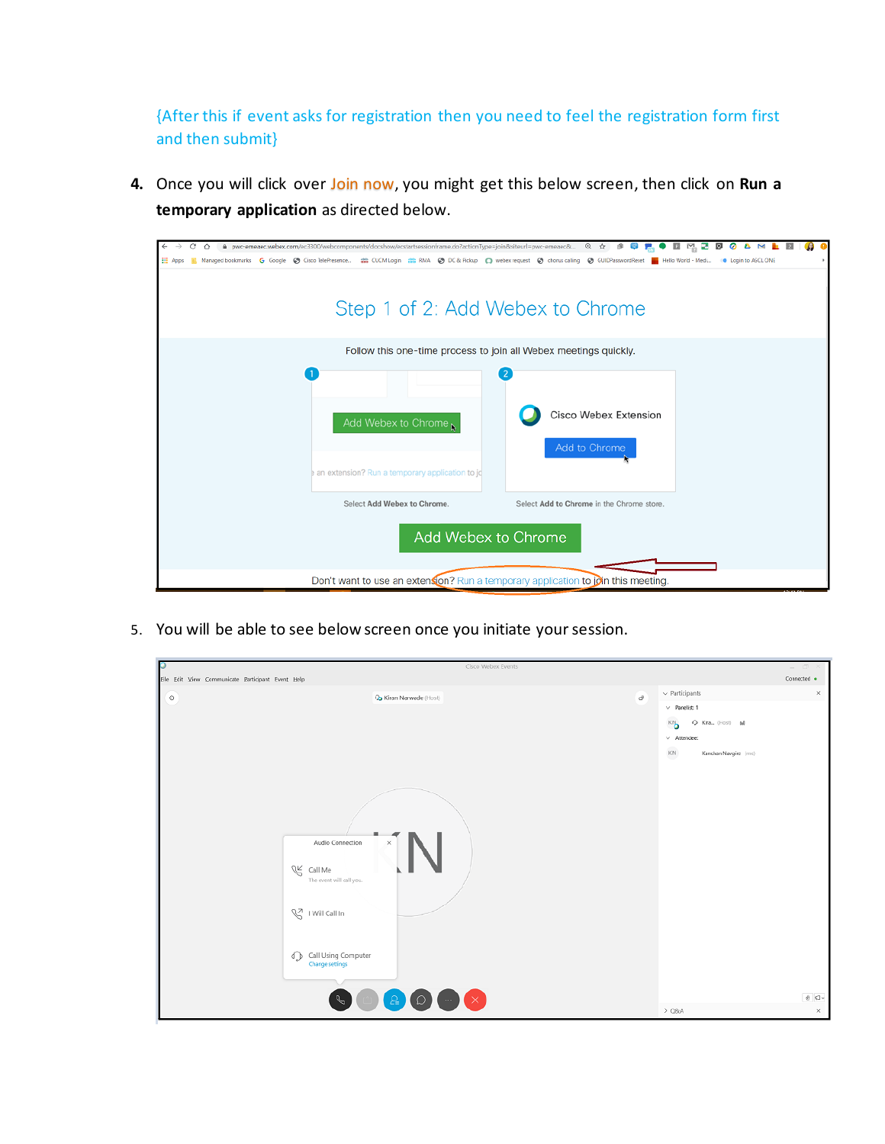{After this if event asks for registration then you need to feel the registration form first and then submit}

**4.** Once you will click over Join now, you might get this below screen, then click on **Run a temporary application** as directed below.

| $\leftarrow$<br><b>HE Apr</b>                                                                | A pwc-emeaec.webex.com/ec3300/webcomponents/docshow/ecstartsessionframe.do?actionType=join&siteurl=pwc-emeaec& © ☆ 9 | Managed bookmarks G Google @ Cisco TelePresence ## CUCM Login ## RMA @ DC & Pickup D webex request @ chorus calling @ GUIDPasswordReset   Hello World - Medi | <b>C</b> Login to ASCL ONE |  |
|----------------------------------------------------------------------------------------------|----------------------------------------------------------------------------------------------------------------------|--------------------------------------------------------------------------------------------------------------------------------------------------------------|----------------------------|--|
|                                                                                              | Step 1 of 2: Add Webex to Chrome                                                                                     |                                                                                                                                                              |                            |  |
|                                                                                              | Follow this one-time process to join all Webex meetings quickly.                                                     |                                                                                                                                                              |                            |  |
|                                                                                              | Add Webex to Chrome<br>an extension? Run a temporary application to jo                                               | <b>Cisco Webex Extension</b><br>Add to Chrome                                                                                                                |                            |  |
|                                                                                              | Select Add Webex to Chrome.                                                                                          | Select Add to Chrome in the Chrome store.                                                                                                                    |                            |  |
| Add Webex to Chrome                                                                          |                                                                                                                      |                                                                                                                                                              |                            |  |
| Don't want to use an extension? Run a temporary application to $\hat{\rho}$ in this meeting. |                                                                                                                      |                                                                                                                                                              |                            |  |

5. You will be able to see below screen once you initiate your session.

|                                                                                                                                                                                 | Cisco Webex Events | $=$ $\Box$ $\times$             |
|---------------------------------------------------------------------------------------------------------------------------------------------------------------------------------|--------------------|---------------------------------|
| Eile Edit View Communicate Participant Event Help                                                                                                                               |                    | Connected $\bullet$             |
| $_{\odot}$<br>Co Kiran Narwade (Host)                                                                                                                                           | $\sigma^0$         | $\vee$ Participants<br>$\times$ |
|                                                                                                                                                                                 |                    | $\vee$ Panelist: 1              |
|                                                                                                                                                                                 |                    | Q Kira., (Host) all<br>кŊ       |
|                                                                                                                                                                                 |                    | $\vee$ Attendee:                |
|                                                                                                                                                                                 |                    | KN<br>Kanchan Navgire (me)      |
|                                                                                                                                                                                 |                    |                                 |
| Audio Connection<br>×<br>$\mathbb{C}$ Call Me<br>The event will call you.<br>V I Will Call In<br>$\bigcirc$ Call Using Computer<br>Change settings<br>2 <sup>1</sup><br>$\circ$ | $\bigodot$         | $\theta$ $\varphi$ .            |
|                                                                                                                                                                                 |                    | $>$ Q8A<br>$\times$             |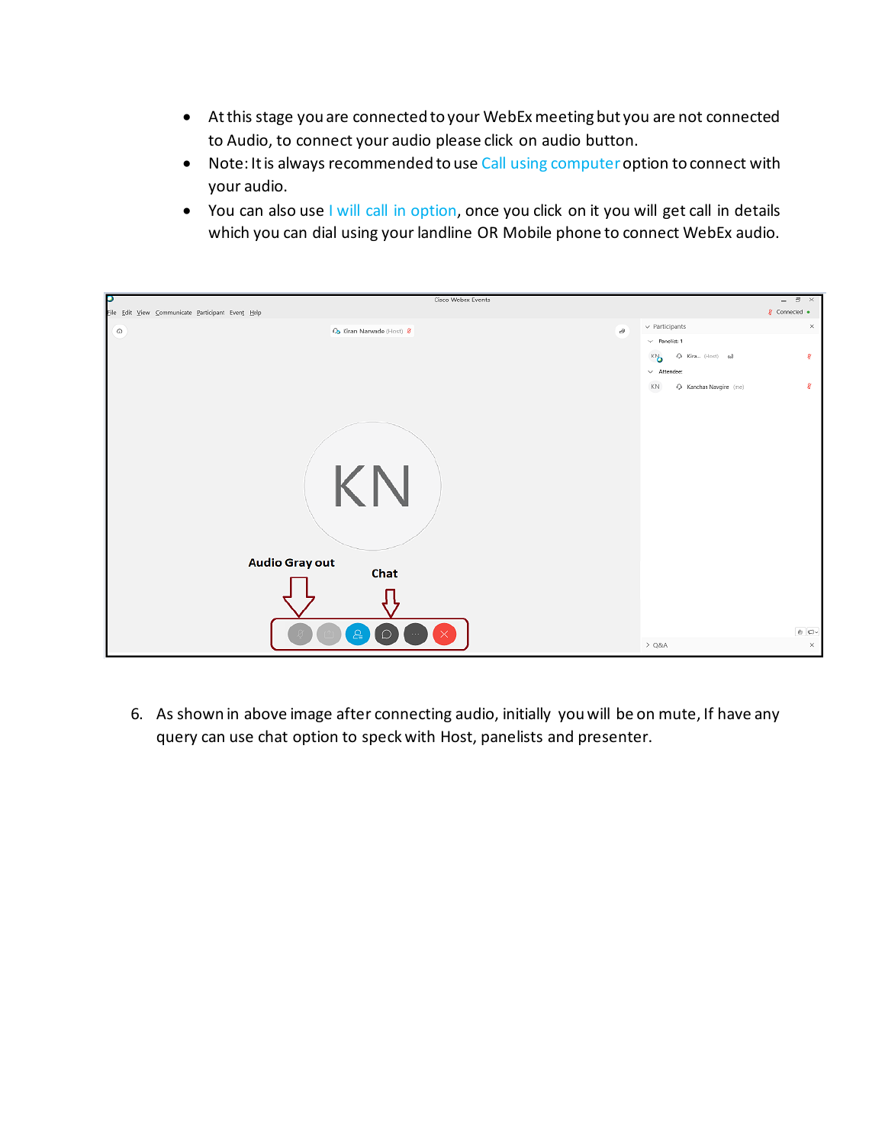- At this stage you are connected to your WebEx meeting but you are not connected to Audio, to connect your audio please click on audio button.
- Note: It is always recommended to use Call using computer option to connect with your audio.
- You can also use I will call in option, once you click on it you will get call in details which you can dial using your landline OR Mobile phone to connect WebEx audio.

| D                                                 | Cisco Webex Events        |          |                                    | $ \Box$ $\times$               |
|---------------------------------------------------|---------------------------|----------|------------------------------------|--------------------------------|
| File Edit View Communicate Participant Event Help |                           |          |                                    | $\sqrt{g}$ Connected $\bullet$ |
| $\circ$                                           | Co Kiran Narwade (Host) & | $\sigma$ | $\vee$ Participants                | $\times$                       |
|                                                   |                           |          | $\vee$ Panelist: 1                 |                                |
|                                                   |                           |          | Q Kira (Host) 6d<br>къ             | ą                              |
|                                                   |                           |          | $\vee$ Attendee:                   |                                |
|                                                   |                           |          | $\rm KN$<br>- Kanchan Navgire (me) | g                              |
|                                                   |                           |          |                                    |                                |
|                                                   |                           |          |                                    |                                |
|                                                   |                           |          |                                    |                                |
|                                                   |                           |          |                                    |                                |
|                                                   |                           |          |                                    |                                |
|                                                   | KN                        |          |                                    |                                |
|                                                   |                           |          |                                    |                                |
|                                                   |                           |          |                                    |                                |
|                                                   |                           |          |                                    |                                |
| Audio Gray out                                    |                           |          |                                    |                                |
|                                                   | Chat                      |          |                                    |                                |
|                                                   |                           |          |                                    |                                |
|                                                   |                           |          |                                    |                                |
| 2<br>∩<br>$\sim 100$                              |                           |          |                                    |                                |
|                                                   |                           |          | $\theta$ $\Box$                    |                                |
|                                                   |                           |          | $>$ Q&A                            | $\times$                       |

6. As shown in above image after connecting audio, initially you will be on mute, If have any query can use chat option to speck with Host, panelists and presenter.